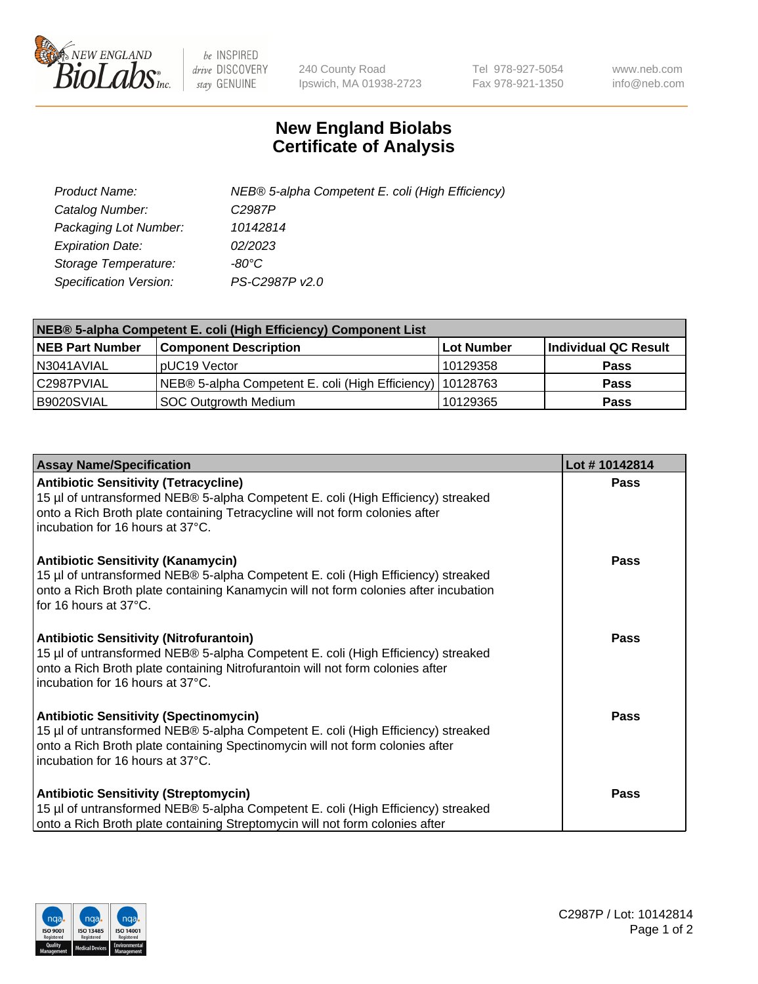

 $be$  INSPIRED drive DISCOVERY stay GENUINE

240 County Road Ipswich, MA 01938-2723 Tel 978-927-5054 Fax 978-921-1350 www.neb.com info@neb.com

## **New England Biolabs Certificate of Analysis**

| Product Name:           | NEB® 5-alpha Competent E. coli (High Efficiency) |
|-------------------------|--------------------------------------------------|
| Catalog Number:         | C <sub>2987</sub> P                              |
| Packaging Lot Number:   | 10142814                                         |
| <b>Expiration Date:</b> | 02/2023                                          |
| Storage Temperature:    | -80°C                                            |
| Specification Version:  | PS-C2987P v2.0                                   |

| NEB® 5-alpha Competent E. coli (High Efficiency) Component List |                                                             |                   |                      |  |
|-----------------------------------------------------------------|-------------------------------------------------------------|-------------------|----------------------|--|
| <b>NEB Part Number</b>                                          | <b>Component Description</b>                                | <b>Lot Number</b> | Individual QC Result |  |
| N3041AVIAL                                                      | pUC19 Vector                                                | 10129358          | <b>Pass</b>          |  |
| C2987PVIAL                                                      | NEB® 5-alpha Competent E. coli (High Efficiency)   10128763 |                   | <b>Pass</b>          |  |
| B9020SVIAL                                                      | <b>SOC Outgrowth Medium</b>                                 | 10129365          | <b>Pass</b>          |  |

| <b>Assay Name/Specification</b>                                                                                                                                                                                                                          | Lot #10142814 |
|----------------------------------------------------------------------------------------------------------------------------------------------------------------------------------------------------------------------------------------------------------|---------------|
| <b>Antibiotic Sensitivity (Tetracycline)</b><br>15 µl of untransformed NEB® 5-alpha Competent E. coli (High Efficiency) streaked<br>onto a Rich Broth plate containing Tetracycline will not form colonies after<br>incubation for 16 hours at 37°C.     | Pass          |
| <b>Antibiotic Sensitivity (Kanamycin)</b><br>15 µl of untransformed NEB® 5-alpha Competent E. coli (High Efficiency) streaked<br>onto a Rich Broth plate containing Kanamycin will not form colonies after incubation<br>for 16 hours at 37°C.           | <b>Pass</b>   |
| <b>Antibiotic Sensitivity (Nitrofurantoin)</b><br>15 µl of untransformed NEB® 5-alpha Competent E. coli (High Efficiency) streaked<br>onto a Rich Broth plate containing Nitrofurantoin will not form colonies after<br>incubation for 16 hours at 37°C. | Pass          |
| <b>Antibiotic Sensitivity (Spectinomycin)</b><br>15 µl of untransformed NEB® 5-alpha Competent E. coli (High Efficiency) streaked<br>onto a Rich Broth plate containing Spectinomycin will not form colonies after<br>incubation for 16 hours at 37°C.   | Pass          |
| <b>Antibiotic Sensitivity (Streptomycin)</b><br>15 µl of untransformed NEB® 5-alpha Competent E. coli (High Efficiency) streaked<br>onto a Rich Broth plate containing Streptomycin will not form colonies after                                         | Pass          |